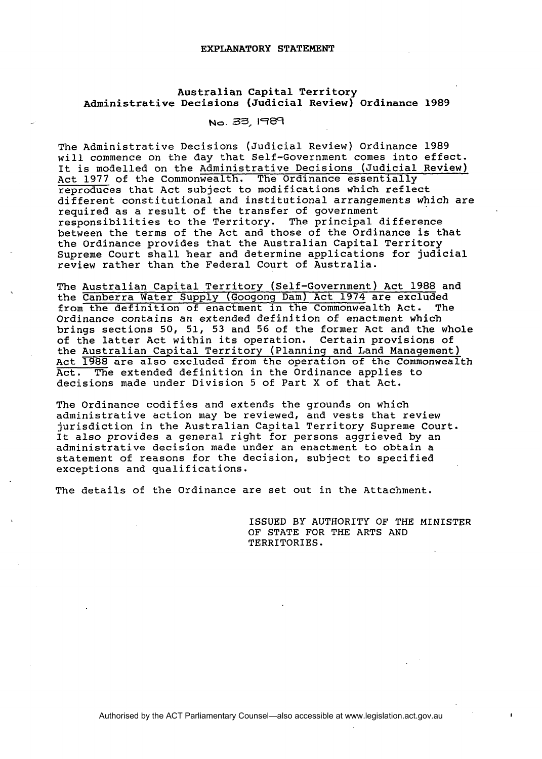## EXPLANATORY STATEMENT

## Australian Capital Territory Administrative Decisions (Judicial Review) Ordinance 1989

## No. **33, 1989**

The Administrative Decisions (Judicial Review) Ordinance 1989 will commence on the day that Self-Government comes into effect. It is modelled on the Administrative Decisions (Judicial Review) Act 1977 of the Commonwealth. The Ordinance essentially reproduces that Act subject to modifications which reflect different constitutional and institutional arrangements which are required as a result of the transfer of government responsibilities to the Territory. The principal difference between the terms of the Act and those of the Ordinance is that the Ordinance provides that the Australian Capital Territory Supreme Court shall hear and determine applications for judicial review rather than the Federal Court of Australia.

The Australian Capital Territory (Self-Government) Act 1988 and the Ordinance provides that the Australian Capital Territory<br>Supreme Court shall hear and determine applications for judici<br>review rather than the Federal Court of Australia.<br>The <u>Australian Capital Territory (Self-Governm</u> from the definition of enactment in the Commonwealth Act. The Ordinance contains an extended definition of enactment which brings sections 50, 51, 53 and 56 of the former Act and the whole of the latter Act within its operation. Certain provisions of the Australian Capital Territory (Planning and Land Management) Act 1988 are also excluded from the operation of the Commonwealth Act. The extended definition in the Ordinance applies to decisions made under Division 5 of Part X of that Act.

The Ordinance codifies and extends the grounds on which administrative action may be reviewed, and vests that review jurisdiction in the Australian Capital Territory Supreme Court. It also provides a general right for persons aggrieved by an administrative decision made under an enactment to obtain a statement of reasons for the decision, subject to specified exceptions and qualifications.

The details of the Ordinance are set out in the Attachment.

ISSUED BY AUTHORITY OF THE MINISTER OF STATE FOR THE ARTS AND TERRITORIES.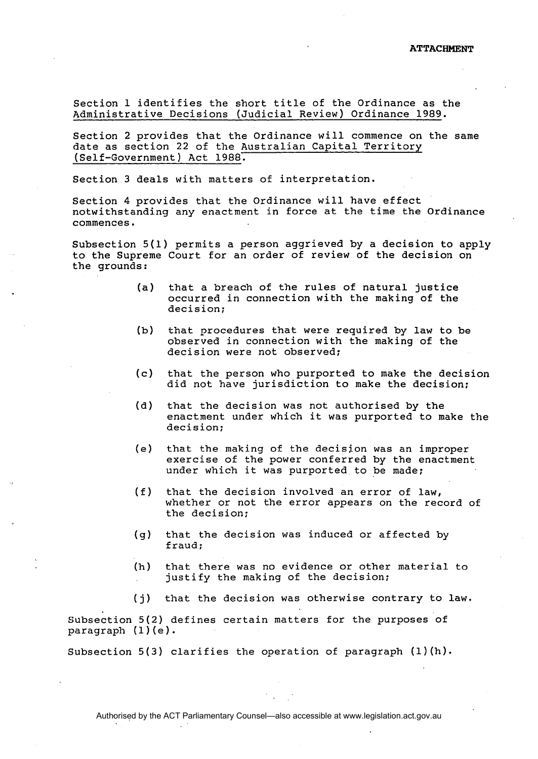Section 1 identifies the short title of the Ordinance as the Administrative Decisions (Judicial Review) Ordinance 1989.

Section 2 provides that the Ordinance will commence on the same date as section 22 of the Australian Capital Territory (Self-Government) Act 1988.

Section 3 deals with matters of interpretation.

Section 4 provides that the Ordinance will have effect notwithstanding any enactment in force at the time the Ordinance commences.

Subsection 5(1) permits a person aggrieved by a decision to apply to the Supreme Court for an order of review of the decision on the grounds:

- (a) that a breach of the rules of natural justice occurred in connection with the making of the decision;
- (b) that procedures that were required by law to be observed in connection with the making of the decision were not observed;
- (c) that the person who purported to make the decision did not have jurisdiction to make the decision;
- (d) that the decision was not authorised by the enactment under which it was purported to make the decision;
- (e) that the making of the decision was an improper exercise of the power conferred by the enactment under which it was purported to be made;
- (f) that the decision involved an error of law, whether or not the error appears on the record of the decision;
- (g) that the decision was induced or affected by fraud;
- (h) that there was no evidence or other material to justify the making of the decision;
- **(j)** that the decision was otherwise contrary to law.

Subsection 5(2) defines certain matters for the purposes of paragraph  $(1)(e)$ .

Subsection 5(3) clarifies the operation of paragraph (1)(h).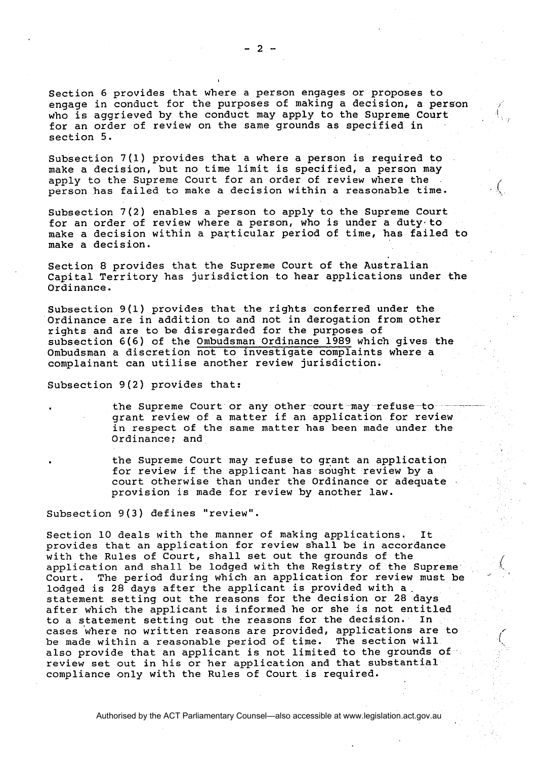Section 6 provides that where a person engages or proposes to engage in conduct for the purposes of making a decision, a person who is aggrieved by the conduct may apply to the Supreme Court for an order of review on the same grounds as specified in section 5.

Subsection 7(1) provides that a where a person is required to make a decision, but no time limit is specified, a person may apply to the Supreme Court for an order of review where the person has failed to make a decision within a reasonable time.

Subsection 7(2) enables a person to apply to the Supreme Court for an order of review where a person, who is under a duty-to make a decision within a particular period of time, has failed to make a decision.

Section 8 provides that the Supreme Court of the Australian Capital Territory has jurisdiction to hear applications under the Ordinance.

Subsection 9(1) provides that the rights conferred under the Ordinance are in addition to and not in derogation from other riqhts and are to be disreqarded for the purposes of subsection 6(6) of the Ombudsman Ordinance 1989 which gives the Ombudsman a discretion not to investigate complaints where a complainant can utilise another review jurisdiction.

Subsection 9(2) provides that:

the Supreme Court or any other court may refuse-togrant review of a matter if an application for review in respect of the same matter has been made under the Ordinance; and

the Supreme Court may refuse to grant an application for review if the applicant has sought review by a court otherwise than under the Ordinance or adequate provision is made for review by another law.

Subsection **9(3)** defines "review".

Section 10 deals with the manner of making applications. It provides that an application for review shall be in accordance with the Rules of Court, shall set out the grounds of the application and shall be lodged with the Registry of the Supreme<br>Court. The period during which an application for review must be The period during which an application for review must be lodged is 28 days after the applicant is provided with a. statement setting out the reasons for the decision or 28 days after which the applicant is informed he or she is not entitled to a statement setting out the reasons for the decision. In cases where no written reasons are provided, applications are to be made within a reasonable period of time. The section will also provide that an applicant is not limited to the grounds of review set out in his or her application and that substantial compliance only with the Rules of Court is required.

Authorised by the ACT Parliamentary Counsel—also accessible at www.legislation.act.gov.au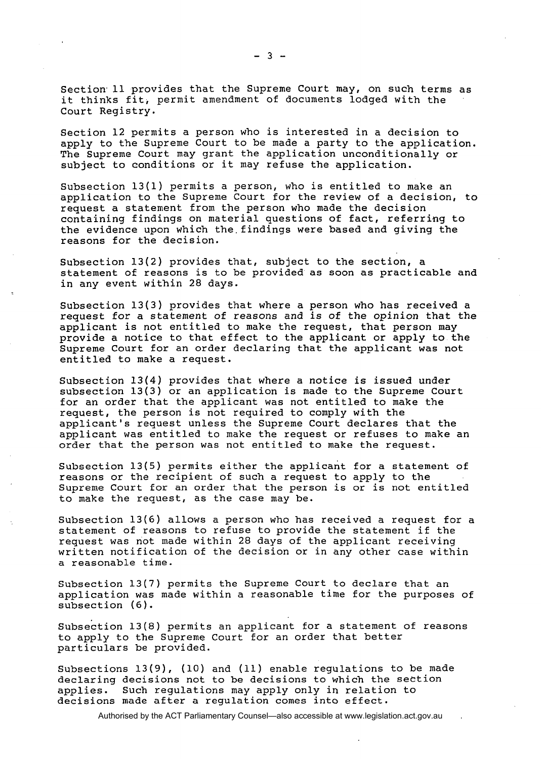Section 11 provides that the Supreme Court may, on such terms as it thinks fit, permit amendment of documents lodged with the Court Registry.

Section 12 permits a person who is interested in a decision to apply to the Supreme Court to be made a party to the application. The Supreme Court may grant the application unconditionally or subject to conditions or it may refuse the application.

Subsection 13(1) permits a person, who is entitled to make an application to the Supreme Court for the review of a decision, to request a statement from the person who made the decision containing findings on material questions of fact, referring to the evidence upon which the.findings were based and giving the reasons for the decision.

Subsection 13(2) provides that, subject to the section, a statement of reasons is to be provided as soon as practicable and in any event within 28 days.

Subsection 13(3) provides that where a person who has received a request for a statement of reasons and is of the opinion that the applicant is not entitled to make the request, that person may provide a notice to that effect to the applicant or apply to the Supreme Court for an order declaring that the applicant was not entitled to make a request.

Subsection 13(4) provides that where a notice is issued under subsection 13(3) or an application is made to the Supreme Court for an order that the applicant was not entitled to make the request, the person is not required to comply with the applicant's request unless the Supreme Court declares that the applicant was entitled to make the request or refuses to make an order that the person was not entitled to make the request.

Subsection 13(5) permits either the applicant for a statement of reasons or the recipient of such a request to apply to the Supreme Court for an order that the person is or is not entitled to make the request, as the case may be.

Subsection 13(6) allows a person who has received a request for a statement of reasons to refuse to provide the statement if the request was not made within 28 days of the applicant receiving written notification of the decision or in any other case within a reasonable time.

Subsection 13(7) permits the Supreme Court to declare that an application was made within a reasonable time for the purposes of subsection (6).

Subsection 13(8) permits an applicant for a statement of reasons to apply to the Supreme Court for an order that better particulars be provided.

Subsections 13(9), (10) and (11) enable regulations to be made declaring decisions not to be decisions to which the seetion applies. Such regulations may apply only in relation to decisions made after a regulation comes into effect.

Authorised by the ACT Parliamentary Counsel—also accessible at www.legislation.act.gov.au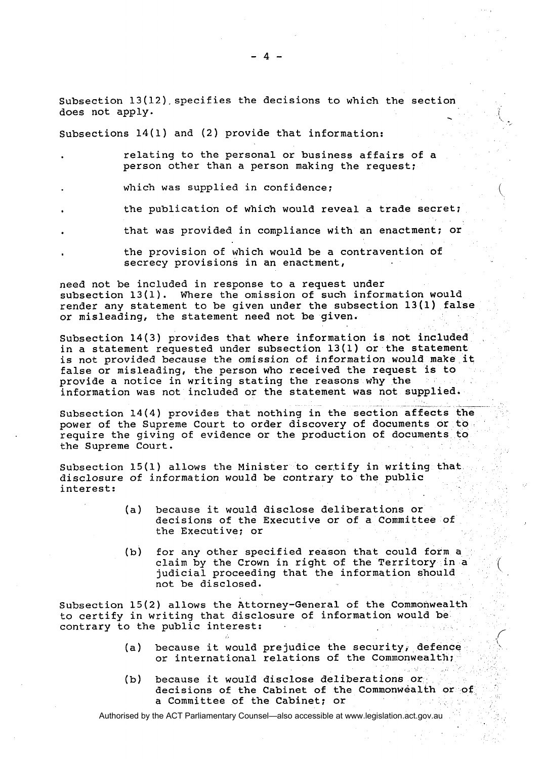subsection 13(12).specifies the decisions to which the section Subsection 13(12) specifies the decisions to which the section<br>does not apply.

subsections 14(1) and (2) provide that information:

- relating to the personal or business affairs of a person other than a person making the request;
- which was supplied in confidence;
- the publication of which would reveal a trade secret;
- that was providced in compliance with an enactment; or
- the provision of which would be a contravention of secrecy provisions in an enactment,

need not be included in response to a request under subsection 13(1). Where the omission of such information would render any statement to be given under the subsection 13(1) false or misleading, the statement need not be given.

Subsection **14(3)** provides that where information is not included in a statement requested under subsection 13(1) or the statement is not provided because the omission of information would make it false or misleading, the person who received the request is to provide a notice in writing stating the reasons why the information was not included or the statement was not supplied.

subsection 14(4) provides that nothing in the section affects the power of the Supreme Court to order discovery of documents or to require the giving of evidence or the production of documents to the Supreme Court.

Subsection  $15(1)$  allows the Minister to certify in writing that. disclosure of information would be contrary to the public interest:

- (a) because it would disclose deliberations or decisions of the Executive or of a Committee of the Executive; or
- (b) for any other specified reason that could form a claim by the Crown in right of the Territory in a judicial proceeding that the information should not be disclosed.

Subsection 15(2) allows the Attorney-General of the Commonwealth to certify in writing that disclosure of information would be contrary to the public interest:

(a) because it would prejudice the security, defence or international relations of the Commonwealth;

,'

(b) because it would disclose deliberations or decisions of the Cabinet of the Commonwealth or of a Committee of the Cabinet; or

Authorised by the ACT Parliamentary Counsel—also accessible at www.legislation.act.gov.au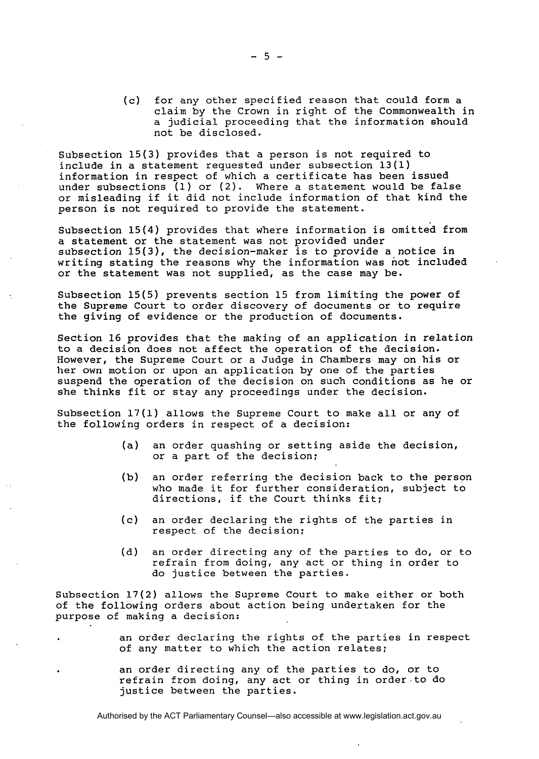(c) for any other specified reason that could form a claim by the Crown in right of the Commonwealth in a judicial proceeding that the information should not be disclosed.

Subsection 15(3) provides that a person is not required to include in a statement requested under subsection 13(1) information in respect of which a certificate has been issued under subsections  $(1)$  or  $(2)$ . Where a statement would be false or misleading if it did not include information of that kind the person is not required to provide the statement.

Subsection 15(4) provides that where information is omitted from a statement or the statement was not provided under subsection 15(3), the decision-maker is to provide a notice in writing stating the reasons why the information was not included or the statement was not supplied, as the case may be.

Subsection 15(5) prevents section 15 from limiting the power of the Supreme Court to order discovery of documents or to require the giving of evidence or the production of documents.

Section 16 provides that the making of an application in relation to a decision does not affect the operation of the decision. However, the Supreme Court or a Judge in Chambers may on his or her own motion or upon an application by one of the parties suspend the operation of the decision on such conditions as he or she thinks fit or stay any proceedings under the decision.

Subsection 17(1) allows the Supreme Court to make all or any of the following orders in respect of a decision:

- (a) an order quashing or setting aside the decision, or a part of the decision;
- (b) an order referring the decision back to the person who made it for further consideration, subject to directions, if the Court thinks fit;
- (c) an order declaring the rights of the parties in respect of the decision;
- (d) an order directing any of the parties to do, or to refrain from doing, any act or thing in order to do justice between the parties.

Subsection **17(2)** allows the Supreme Court to make either or both of the following orders about action being undertaken for the purpose of making a decision:

> an order declaring the rights of the parties in respect of any matter to which the action relates;

an order directing any of the parties to do, or to refrain from doing, any act or thing in order.to do justice between the parties.